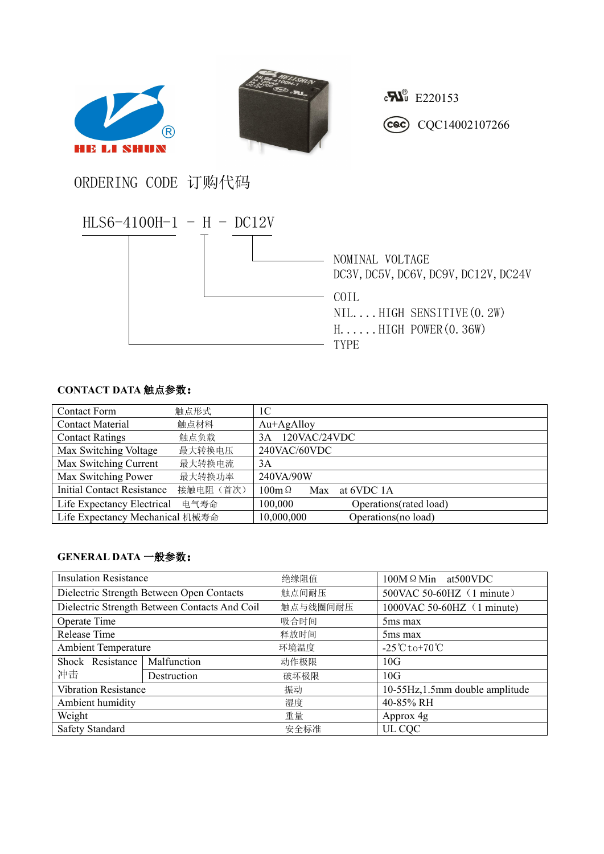



 $c\mathbf{R}^{\circ}$  E220153 Cac) CQC14002107266

ORDERING CODE 订购代码



## **CONTACT DATA** 触点参数:

| <b>Contact Form</b>             | 触点形式      | 1C                                 |
|---------------------------------|-----------|------------------------------------|
| <b>Contact Material</b>         | 触点材料      | $Au+AgAlloy$                       |
| <b>Contact Ratings</b>          | 触点负载      | 120VAC/24VDC<br>3A                 |
| Max Switching Voltage           | 最大转换电压    | 240VAC/60VDC                       |
| Max Switching Current           | 最大转换电流    | 3A                                 |
| Max Switching Power             | 最大转换功率    | 240VA/90W                          |
| Initial Contact Resistance      | 接触电阻 (首次) | $100m\Omega$<br>at 6VDC 1A<br>Max  |
| Life Expectancy Electrical      | 电气寿命      | 100,000<br>Operations (rated load) |
| Life Expectancy Mechanical 机械寿命 |           | 10,000,000<br>Operations(no load)  |

## **GENERAL DATA** 一般参数:

| <b>Insulation Resistance</b>                  |             | 绝缘阻值     | $100M \Omega$ Min at 500 VDC                    |  |
|-----------------------------------------------|-------------|----------|-------------------------------------------------|--|
| Dielectric Strength Between Open Contacts     |             | 触点间耐压    | 500VAC 50-60HZ (1 minute)                       |  |
| Dielectric Strength Between Contacts And Coil |             | 触点与线圈间耐压 | 1000VAC 50-60HZ (1 minute)                      |  |
| Operate Time                                  |             | 吸合时间     | 5 <sub>ms</sub> max                             |  |
| Release Time                                  |             | 释放时间     | 5 <sub>ms</sub> max                             |  |
| <b>Ambient Temperature</b>                    |             | 环境温度     | $-25^{\circ}\text{C}$ to +70 $^{\circ}\text{C}$ |  |
| Shock Resistance                              | Malfunction | 动作极限     | 10G                                             |  |
| 冲击                                            | Destruction | 破坏极限     | 10G                                             |  |
| <b>Vibration Resistance</b>                   |             | 振动       | 10-55Hz, 1.5mm double amplitude                 |  |
| Ambient humidity                              |             | 湿度       | 40-85% RH                                       |  |
| Weight                                        |             | 重量       | Approx 4g                                       |  |
| Safety Standard                               |             | 安全标准     | UL CQC                                          |  |